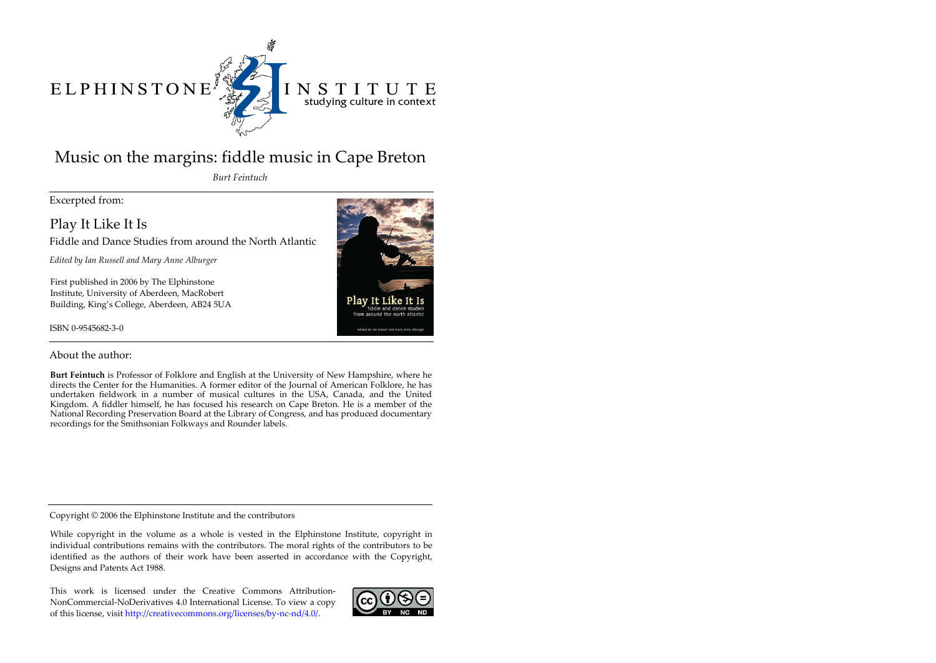# ELPHINSTONE



# INSTITUTE studying culture in context

# Music on the margins: fiddle music in Cape Breton

*Burt Feintuch*

Excerpted from:

Play It Like It Is

Fiddle and Dance Studies from around the North Atlantic

*Edited by Ian Russell and Mary Anne Alburger*

First published in 2006 by The Elphinstone Institute, University of Aberdeen, MacRobert Building, King's College, Aberdeen, AB24 5UA

ISBN 0-9545682-3-0



About the author:

**Burt Feintuch** is Professor of Folklore and English at the University of New Hampshire, where he directs the Center for the Humanities. A former editor of the Journal of American Folklore, he has undertaken fieldwork in a number of musical cultures in the USA, Canada, and the United Kingdom. A fiddler himself, he has focused his research on Cape Breton. He is a member of the National Recording Preservation Board at the Library of Congress, and has produced documentary recordings for the Smithsonian Folkways and Rounder labels.

Copyright © 2006 the Elphinstone Institute and the contributors

While copyright in the volume as a whole is vested in the Elphinstone Institute, copyright in individual contributions remains with the contributors. The moral rights of the contributors to be identified as the authors of their work have been asserted in accordance with the Copyright, Designs and Patents Act 1988.

This work is licensed under the Creative Commons Attribution-NonCommercial-NoDerivatives 4.0 International License. To view a copy of this license, visit http://creativecommons.org/licenses/by-nc-nd/4.0/.

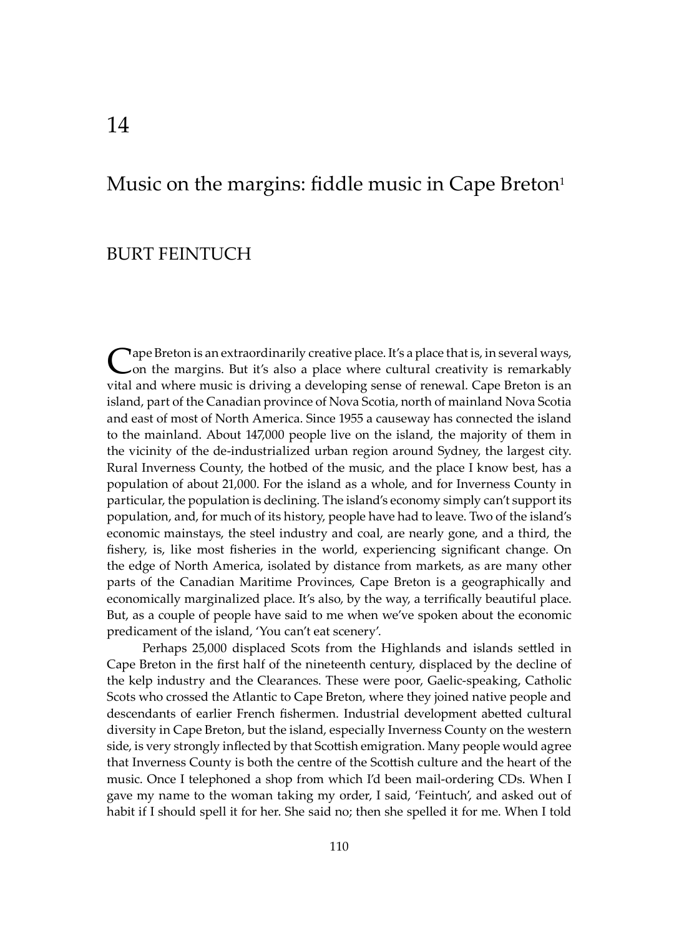## Music on the margins: fiddle music in Cape Breton $<sup>1</sup>$ </sup>

### BURT FEINTUCH

Cape Breton is an extraordinarily creative place. It's a place that is, in several ways,<br>Con the margins. But it's also a place where cultural creativity is remarkably vital and where music is driving a developing sense of renewal. Cape Breton is an island, part of the Canadian province of Nova Scotia, north of mainland Nova Scotia and east of most of North America. Since 1955 a causeway has connected the island to the mainland. About 147,000 people live on the island, the majority of them in the vicinity of the de-industrialized urban region around Sydney, the largest city. Rural Inverness County, the hotbed of the music, and the place I know best, has a population of about 21,000. For the island as a whole, and for Inverness County in particular, the population is declining. The island's economy simply can't support its population, and, for much of its history, people have had to leave. Two of the island's economic mainstays, the steel industry and coal, are nearly gone, and a third, the fishery, is, like most fisheries in the world, experiencing significant change. On the edge of North America, isolated by distance from markets, as are many other parts of the Canadian Maritime Provinces, Cape Breton is a geographically and economically marginalized place. It's also, by the way, a terrifically beautiful place. But, as a couple of people have said to me when we've spoken about the economic predicament of the island, 'You can't eat scenery'.

Perhaps 25,000 displaced Scots from the Highlands and islands settled in Cape Breton in the first half of the nineteenth century, displaced by the decline of the kelp industry and the Clearances. These were poor, Gaelic-speaking, Catholic Scots who crossed the Atlantic to Cape Breton, where they joined native people and descendants of earlier French fishermen. Industrial development abetted cultural diversity in Cape Breton, but the island, especially Inverness County on the western side, is very strongly inflected by that Sco�ish emigration. Many people would agree that Inverness County is both the centre of the Sco�ish culture and the heart of the music. Once I telephoned a shop from which I'd been mail-ordering CDs. When I gave my name to the woman taking my order, I said, 'Feintuch', and asked out of habit if I should spell it for her. She said no; then she spelled it for me. When I told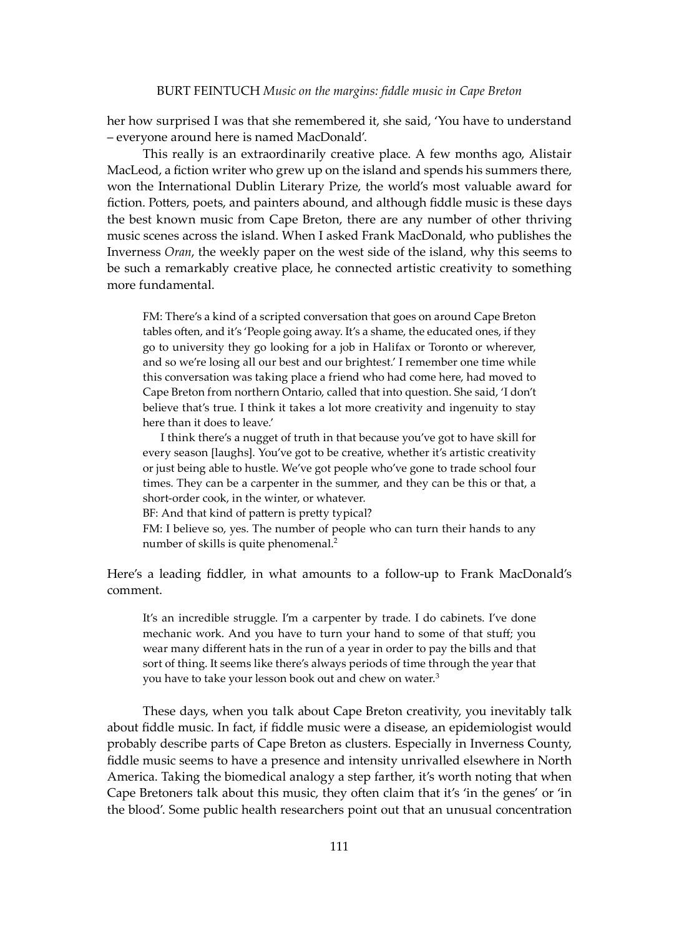her how surprised I was that she remembered it, she said, 'You have to understand – everyone around here is named MacDonald'.

This really is an extraordinarily creative place. A few months ago, Alistair MacLeod, a fiction writer who grew up on the island and spends his summers there, won the International Dublin Literary Prize, the world's most valuable award for fiction. Potters, poets, and painters abound, and although fiddle music is these days the best known music from Cape Breton, there are any number of other thriving music scenes across the island. When I asked Frank MacDonald, who publishes the Inverness *Oran*, the weekly paper on the west side of the island, why this seems to be such a remarkably creative place, he connected artistic creativity to something more fundamental.

FM: There's a kind of a scripted conversation that goes on around Cape Breton tables often, and it's 'People going away. It's a shame, the educated ones, if they go to university they go looking for a job in Halifax or Toronto or wherever, and so we're losing all our best and our brightest.' I remember one time while this conversation was taking place a friend who had come here, had moved to Cape Breton from northern Ontario, called that into question. She said, 'I don't believe that's true. I think it takes a lot more creativity and ingenuity to stay here than it does to leave.'

 I think there's a nugget of truth in that because you've got to have skill for every season [laughs]. You've got to be creative, whether it's artistic creativity or just being able to hustle. We've got people who've gone to trade school four times. They can be a carpenter in the summer, and they can be this or that, a short-order cook, in the winter, or whatever.

BF: And that kind of pattern is pretty typical?

FM: I believe so, yes. The number of people who can turn their hands to any number of skills is quite phenomenal.2

Here's a leading fiddler, in what amounts to a follow-up to Frank MacDonald's comment.

It's an incredible struggle. I'm a carpenter by trade. I do cabinets. I've done mechanic work. And you have to turn your hand to some of that stuff; you wear many different hats in the run of a year in order to pay the bills and that sort of thing. It seems like there's always periods of time through the year that you have to take your lesson book out and chew on water.<sup>3</sup>

These days, when you talk about Cape Breton creativity, you inevitably talk about fiddle music. In fact, if fiddle music were a disease, an epidemiologist would probably describe parts of Cape Breton as clusters. Especially in Inverness County, fiddle music seems to have a presence and intensity unrivalled elsewhere in North America. Taking the biomedical analogy a step farther, it's worth noting that when Cape Bretoners talk about this music, they o�en claim that it's 'in the genes' or 'in the blood'. Some public health researchers point out that an unusual concentration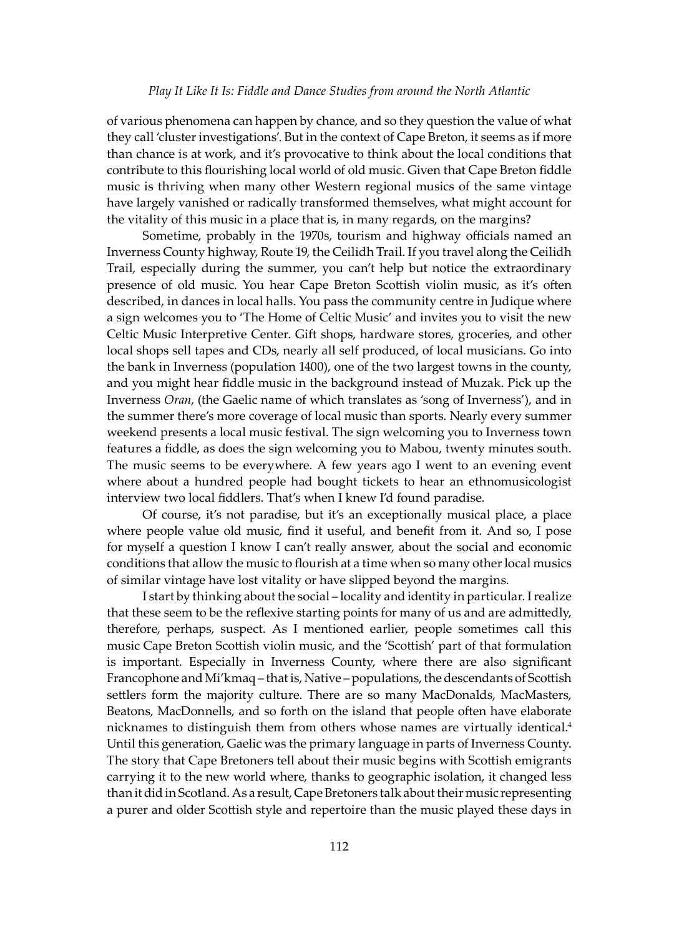of various phenomena can happen by chance, and so they question the value of what they call 'cluster investigations'. But in the context of Cape Breton, it seems as if more than chance is at work, and it's provocative to think about the local conditions that contribute to this flourishing local world of old music. Given that Cape Breton fiddle music is thriving when many other Western regional musics of the same vintage have largely vanished or radically transformed themselves, what might account for the vitality of this music in a place that is, in many regards, on the margins?

Sometime, probably in the 1970s, tourism and highway officials named an Inverness County highway, Route 19, the Ceilidh Trail. If you travel along the Ceilidh Trail, especially during the summer, you can't help but notice the extraordinary presence of old music. You hear Cape Breton Sco�ish violin music, as it's o�en described, in dances in local halls. You pass the community centre in Judique where a sign welcomes you to 'The Home of Celtic Music' and invites you to visit the new Celtic Music Interpretive Center. Gift shops, hardware stores, groceries, and other local shops sell tapes and CDs, nearly all self produced, of local musicians. Go into the bank in Inverness (population 1400), one of the two largest towns in the county, and you might hear fiddle music in the background instead of Muzak. Pick up the Inverness *Oran*, (the Gaelic name of which translates as 'song of Inverness'), and in the summer there's more coverage of local music than sports. Nearly every summer weekend presents a local music festival. The sign welcoming you to Inverness town features a fiddle, as does the sign welcoming you to Mabou, twenty minutes south. The music seems to be everywhere. A few years ago I went to an evening event where about a hundred people had bought tickets to hear an ethnomusicologist interview two local fiddlers. That's when I knew I'd found paradise.

Of course, it's not paradise, but it's an exceptionally musical place, a place where people value old music, find it useful, and benefit from it. And so, I pose for myself a question I know I can't really answer, about the social and economic conditions that allow the music to flourish at a time when so many other local musics of similar vintage have lost vitality or have slipped beyond the margins.

I start by thinking about the social – locality and identity in particular. I realize that these seem to be the reflexive starting points for many of us and are admittedly, therefore, perhaps, suspect. As I mentioned earlier, people sometimes call this music Cape Breton Scottish violin music, and the 'Scottish' part of that formulation is important. Especially in Inverness County, where there are also significant Francophone and Mi'kmaq - that is, Native - populations, the descendants of Scottish settlers form the majority culture. There are so many MacDonalds, MacMasters, Beatons, MacDonnells, and so forth on the island that people often have elaborate nicknames to distinguish them from others whose names are virtually identical.<sup>4</sup> Until this generation, Gaelic was the primary language in parts of Inverness County. The story that Cape Bretoners tell about their music begins with Scottish emigrants carrying it to the new world where, thanks to geographic isolation, it changed less than it did in Scotland. As a result, Cape Bretoners talk about their music representing a purer and older Sco�ish style and repertoire than the music played these days in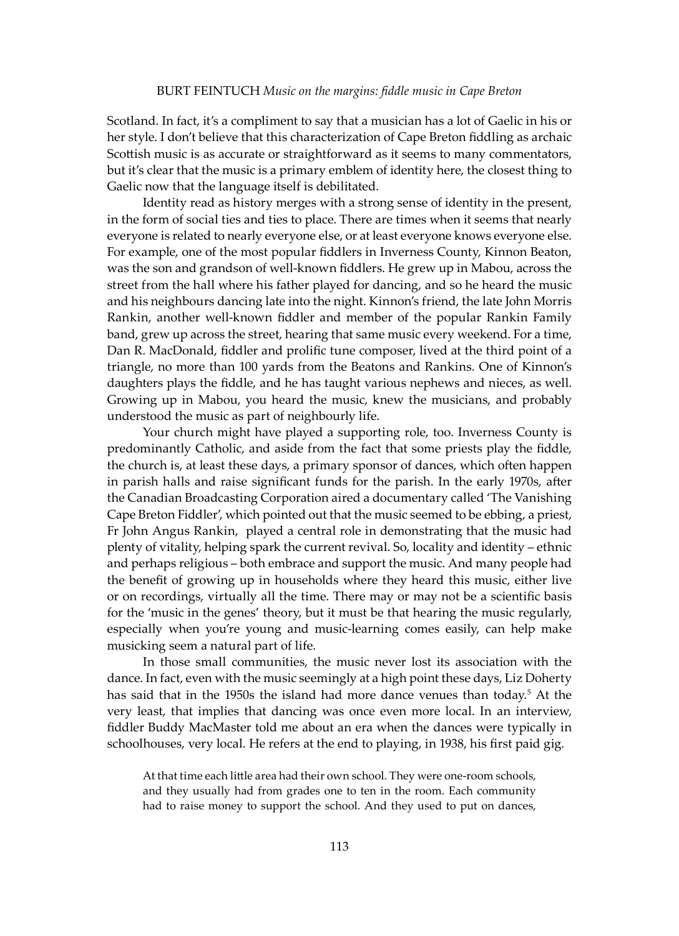Scotland. In fact, it's a compliment to say that a musician has a lot of Gaelic in his or her style. I don't believe that this characterization of Cape Breton fiddling as archaic Scottish music is as accurate or straightforward as it seems to many commentators, but it's clear that the music is a primary emblem of identity here, the closest thing to Gaelic now that the language itself is debilitated.

Identity read as history merges with a strong sense of identity in the present, in the form of social ties and ties to place. There are times when it seems that nearly everyone is related to nearly everyone else, or at least everyone knows everyone else. For example, one of the most popular fiddlers in Inverness County, Kinnon Beaton, was the son and grandson of well-known fiddlers. He grew up in Mabou, across the street from the hall where his father played for dancing, and so he heard the music and his neighbours dancing late into the night. Kinnon's friend, the late John Morris Rankin, another well-known fiddler and member of the popular Rankin Family band, grew up across the street, hearing that same music every weekend. For a time, Dan R. MacDonald, fiddler and prolific tune composer, lived at the third point of a triangle, no more than 100 yards from the Beatons and Rankins. One of Kinnon's daughters plays the fiddle, and he has taught various nephews and nieces, as well. Growing up in Mabou, you heard the music, knew the musicians, and probably understood the music as part of neighbourly life.

Your church might have played a supporting role, too. Inverness County is predominantly Catholic, and aside from the fact that some priests play the fiddle, the church is, at least these days, a primary sponsor of dances, which o�en happen in parish halls and raise significant funds for the parish. In the early 1970s, after the Canadian Broadcasting Corporation aired a documentary called 'The Vanishing Cape Breton Fiddler', which pointed out that the music seemed to be ebbing, a priest, Fr John Angus Rankin, played a central role in demonstrating that the music had plenty of vitality, helping spark the current revival. So, locality and identity – ethnic and perhaps religious – both embrace and support the music. And many people had the benefit of growing up in households where they heard this music, either live or on recordings, virtually all the time. There may or may not be a scientific basis for the 'music in the genes' theory, but it must be that hearing the music regularly, especially when you're young and music-learning comes easily, can help make musicking seem a natural part of life.

In those small communities, the music never lost its association with the dance. In fact, even with the music seemingly at a high point these days, Liz Doherty has said that in the 1950s the island had more dance venues than today.<sup>5</sup> At the very least, that implies that dancing was once even more local. In an interview, fiddler Buddy MacMaster told me about an era when the dances were typically in schoolhouses, very local. He refers at the end to playing, in 1938, his first paid gig.

At that time each little area had their own school. They were one-room schools, and they usually had from grades one to ten in the room. Each community had to raise money to support the school. And they used to put on dances,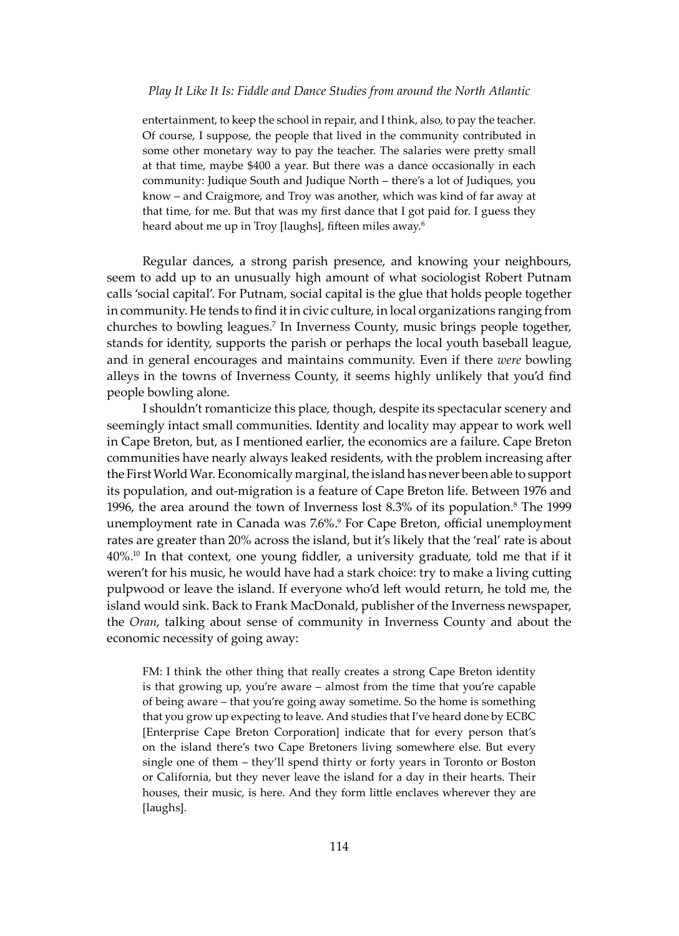entertainment, to keep the school in repair, and I think, also, to pay the teacher. Of course, I suppose, the people that lived in the community contributed in some other monetary way to pay the teacher. The salaries were pretty small at that time, maybe \$400 a year. But there was a dance occasionally in each community: Judique South and Judique North – there's a lot of Judiques, you know – and Craigmore, and Troy was another, which was kind of far away at that time, for me. But that was my first dance that I got paid for. I guess they heard about me up in Troy [laughs], fifteen miles away.<sup>6</sup>

Regular dances, a strong parish presence, and knowing your neighbours, seem to add up to an unusually high amount of what sociologist Robert Putnam calls 'social capital'. For Putnam, social capital is the glue that holds people together in community. He tends to find it in civic culture, in local organizations ranging from churches to bowling leagues.7 In Inverness County, music brings people together, stands for identity, supports the parish or perhaps the local youth baseball league, and in general encourages and maintains community. Even if there *were* bowling alleys in the towns of Inverness County, it seems highly unlikely that you'd find people bowling alone.

I shouldn't romanticize this place, though, despite its spectacular scenery and seemingly intact small communities. Identity and locality may appear to work well in Cape Breton, but, as I mentioned earlier, the economics are a failure. Cape Breton communities have nearly always leaked residents, with the problem increasing a�er the First World War. Economically marginal, the island has never been able to support its population, and out-migration is a feature of Cape Breton life. Between 1976 and 1996, the area around the town of Inverness lost  $8.3%$  of its population.<sup>8</sup> The 1999 unemployment rate in Canada was 7.6%.9 For Cape Breton, official unemployment rates are greater than 20% across the island, but it's likely that the 'real' rate is about 40%.10 In that context, one young fiddler, a university graduate, told me that if it weren't for his music, he would have had a stark choice: try to make a living cutting pulpwood or leave the island. If everyone who'd left would return, he told me, the island would sink. Back to Frank MacDonald, publisher of the Inverness newspaper, the *Oran*, talking about sense of community in Inverness County and about the economic necessity of going away:

FM: I think the other thing that really creates a strong Cape Breton identity is that growing up, you're aware – almost from the time that you're capable of being aware – that you're going away sometime. So the home is something that you grow up expecting to leave. And studies that I've heard done by ECBC [Enterprise Cape Breton Corporation] indicate that for every person that's on the island there's two Cape Bretoners living somewhere else. But every single one of them – they'll spend thirty or forty years in Toronto or Boston or California, but they never leave the island for a day in their hearts. Their houses, their music, is here. And they form little enclaves wherever they are [laughs].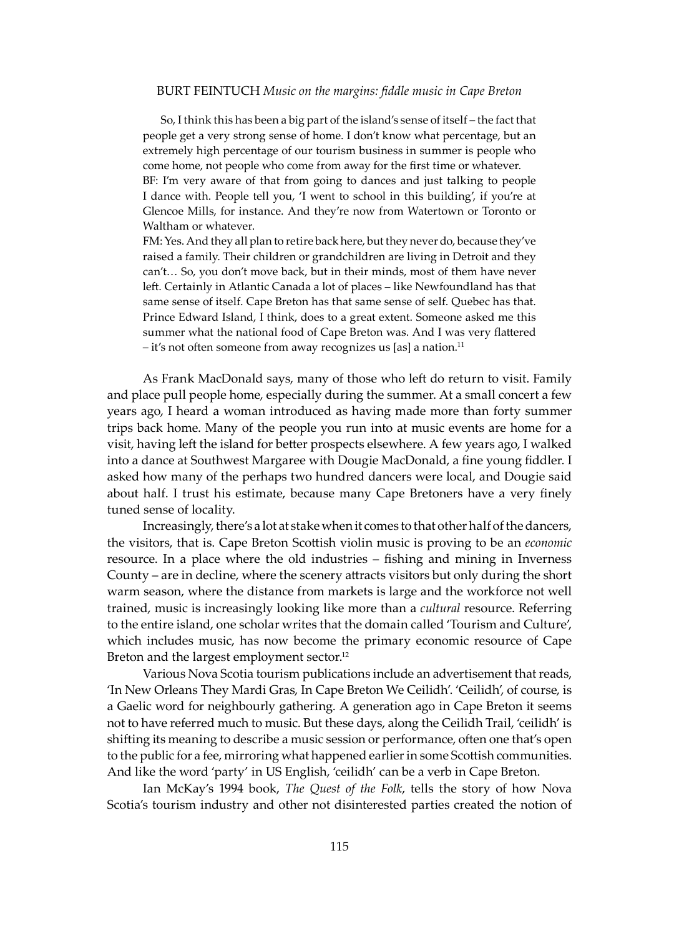#### BURT FEINTUCH *Music on the margins: fiddle music in Cape Breton*

 So, I think this has been a big part of the island's sense of itself – the fact that people get a very strong sense of home. I don't know what percentage, but an extremely high percentage of our tourism business in summer is people who come home, not people who come from away for the first time or whatever. BF: I'm very aware of that from going to dances and just talking to people

I dance with. People tell you, 'I went to school in this building', if you're at Glencoe Mills, for instance. And they're now from Watertown or Toronto or Waltham or whatever.

FM: Yes. And they all plan to retire back here, but they never do, because they've raised a family. Their children or grandchildren are living in Detroit and they can't… So, you don't move back, but in their minds, most of them have never left. Certainly in Atlantic Canada a lot of places - like Newfoundland has that same sense of itself. Cape Breton has that same sense of self. Quebec has that. Prince Edward Island, I think, does to a great extent. Someone asked me this summer what the national food of Cape Breton was. And I was very flattered  $-$  it's not often someone from away recognizes us [as] a nation.<sup>11</sup>

As Frank MacDonald says, many of those who left do return to visit. Family and place pull people home, especially during the summer. At a small concert a few years ago, I heard a woman introduced as having made more than forty summer trips back home. Many of the people you run into at music events are home for a visit, having left the island for better prospects elsewhere. A few years ago, I walked into a dance at Southwest Margaree with Dougie MacDonald, a fine young fiddler. I asked how many of the perhaps two hundred dancers were local, and Dougie said about half. I trust his estimate, because many Cape Bretoners have a very finely tuned sense of locality.

Increasingly, there's a lot at stake when it comes to that other half of the dancers, the visitors, that is. Cape Breton Sco�ish violin music is proving to be an *economic* resource. In a place where the old industries – fishing and mining in Inverness County – are in decline, where the scenery a�racts visitors but only during the short warm season, where the distance from markets is large and the workforce not well trained, music is increasingly looking like more than a *cultural* resource. Referring to the entire island, one scholar writes that the domain called 'Tourism and Culture', which includes music, has now become the primary economic resource of Cape Breton and the largest employment sector.<sup>12</sup>

Various Nova Scotia tourism publications include an advertisement that reads, 'In New Orleans They Mardi Gras, In Cape Breton We Ceilidh'. 'Ceilidh', of course, is a Gaelic word for neighbourly gathering. A generation ago in Cape Breton it seems not to have referred much to music. But these days, along the Ceilidh Trail, 'ceilidh' is shifting its meaning to describe a music session or performance, often one that's open to the public for a fee, mirroring what happened earlier in some Scottish communities. And like the word 'party' in US English, 'ceilidh' can be a verb in Cape Breton.

Ian McKay's 1994 book, *The Quest of the Folk*, tells the story of how Nova Scotia's tourism industry and other not disinterested parties created the notion of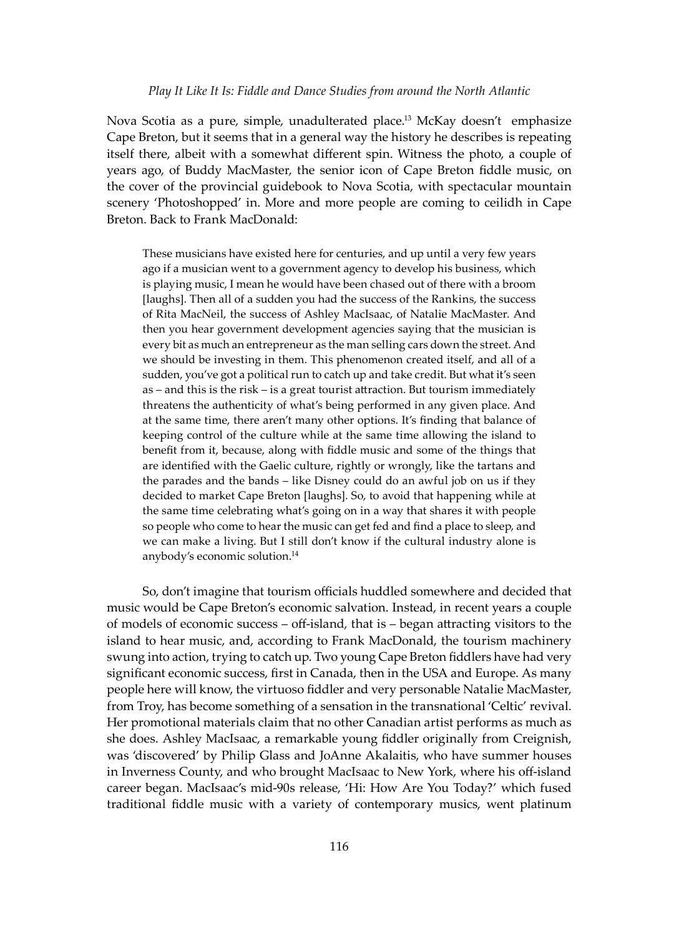Nova Scotia as a pure, simple, unadulterated place.<sup>13</sup> McKay doesn't emphasize Cape Breton, but it seems that in a general way the history he describes is repeating itself there, albeit with a somewhat different spin. Witness the photo, a couple of years ago, of Buddy MacMaster, the senior icon of Cape Breton fiddle music, on the cover of the provincial guidebook to Nova Scotia, with spectacular mountain scenery 'Photoshopped' in. More and more people are coming to ceilidh in Cape Breton. Back to Frank MacDonald:

These musicians have existed here for centuries, and up until a very few years ago if a musician went to a government agency to develop his business, which is playing music, I mean he would have been chased out of there with a broom [laughs]. Then all of a sudden you had the success of the Rankins, the success of Rita MacNeil, the success of Ashley MacIsaac, of Natalie MacMaster. And then you hear government development agencies saying that the musician is every bit as much an entrepreneur as the man selling cars down the street. And we should be investing in them. This phenomenon created itself, and all of a sudden, you've got a political run to catch up and take credit. But what it's seen as – and this is the risk – is a great tourist a�raction. But tourism immediately threatens the authenticity of what's being performed in any given place. And at the same time, there aren't many other options. It's finding that balance of keeping control of the culture while at the same time allowing the island to benefit from it, because, along with fiddle music and some of the things that are identified with the Gaelic culture, rightly or wrongly, like the tartans and the parades and the bands – like Disney could do an awful job on us if they decided to market Cape Breton [laughs]. So, to avoid that happening while at the same time celebrating what's going on in a way that shares it with people so people who come to hear the music can get fed and find a place to sleep, and we can make a living. But I still don't know if the cultural industry alone is anybody's economic solution.14

So, don't imagine that tourism officials huddled somewhere and decided that music would be Cape Breton's economic salvation. Instead, in recent years a couple of models of economic success – off-island, that is – began a�racting visitors to the island to hear music, and, according to Frank MacDonald, the tourism machinery swung into action, trying to catch up. Two young Cape Breton fiddlers have had very significant economic success, first in Canada, then in the USA and Europe. As many people here will know, the virtuoso fiddler and very personable Natalie MacMaster, from Troy, has become something of a sensation in the transnational 'Celtic' revival. Her promotional materials claim that no other Canadian artist performs as much as she does. Ashley MacIsaac, a remarkable young fiddler originally from Creignish, was 'discovered' by Philip Glass and JoAnne Akalaitis, who have summer houses in Inverness County, and who brought MacIsaac to New York, where his off-island career began. MacIsaac's mid-90s release, 'Hi: How Are You Today?' which fused traditional fiddle music with a variety of contemporary musics, went platinum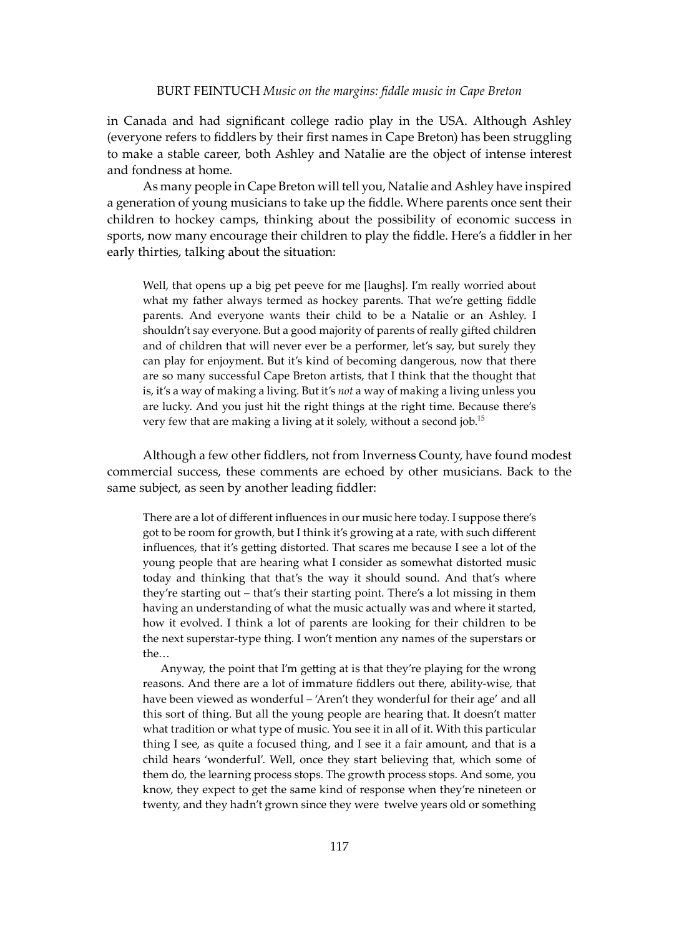in Canada and had significant college radio play in the USA. Although Ashley (everyone refers to fiddlers by their first names in Cape Breton) has been struggling to make a stable career, both Ashley and Natalie are the object of intense interest and fondness at home.

As many people in Cape Breton will tell you, Natalie and Ashley have inspired a generation of young musicians to take up the fiddle. Where parents once sent their children to hockey camps, thinking about the possibility of economic success in sports, now many encourage their children to play the fiddle. Here's a fiddler in her early thirties, talking about the situation:

Well, that opens up a big pet peeve for me [laughs]. I'm really worried about what my father always termed as hockey parents. That we're getting fiddle parents. And everyone wants their child to be a Natalie or an Ashley. I shouldn't say everyone. But a good majority of parents of really gifted children and of children that will never ever be a performer, let's say, but surely they can play for enjoyment. But it's kind of becoming dangerous, now that there are so many successful Cape Breton artists, that I think that the thought that is, it's a way of making a living. But it's *not* a way of making a living unless you are lucky. And you just hit the right things at the right time. Because there's very few that are making a living at it solely, without a second job.<sup>15</sup>

Although a few other fiddlers, not from Inverness County, have found modest commercial success, these comments are echoed by other musicians. Back to the same subject, as seen by another leading fiddler:

There are a lot of different influences in our music here today. I suppose there's got to be room for growth, but I think it's growing at a rate, with such different influences, that it's getting distorted. That scares me because I see a lot of the young people that are hearing what I consider as somewhat distorted music today and thinking that that's the way it should sound. And that's where they're starting out – that's their starting point. There's a lot missing in them having an understanding of what the music actually was and where it started, how it evolved. I think a lot of parents are looking for their children to be the next superstar-type thing. I won't mention any names of the superstars or the…

Anyway, the point that I'm getting at is that they're playing for the wrong reasons. And there are a lot of immature fiddlers out there, ability-wise, that have been viewed as wonderful – 'Aren't they wonderful for their age' and all this sort of thing. But all the young people are hearing that. It doesn't matter what tradition or what type of music. You see it in all of it. With this particular thing I see, as quite a focused thing, and I see it a fair amount, and that is a child hears 'wonderful'. Well, once they start believing that, which some of them do, the learning process stops. The growth process stops. And some, you know, they expect to get the same kind of response when they're nineteen or twenty, and they hadn't grown since they were twelve years old or something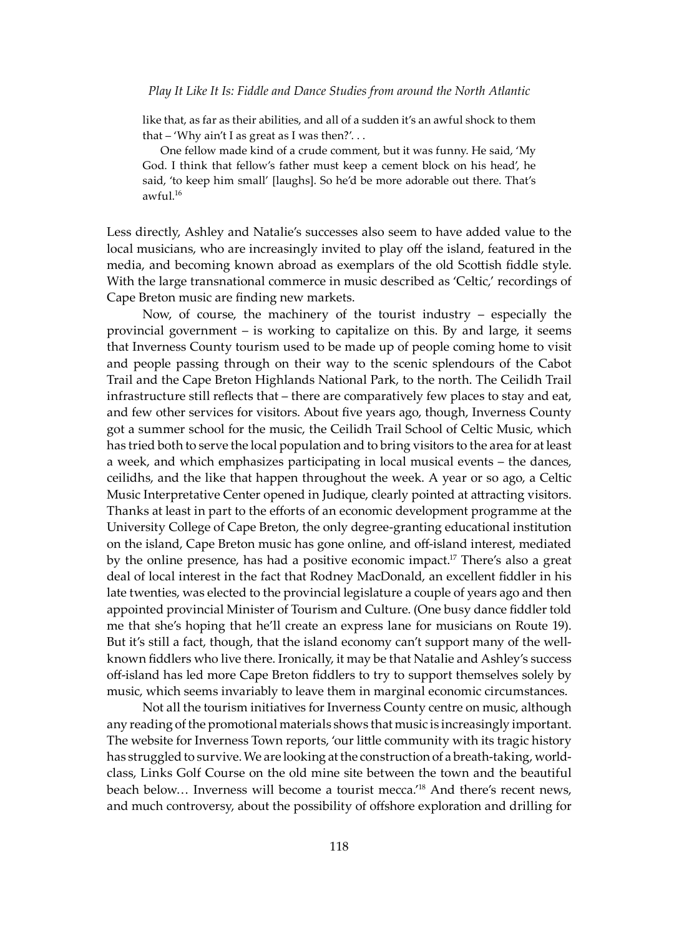like that, as far as their abilities, and all of a sudden it's an awful shock to them that – 'Why ain't I as great as I was then?'. . .

 One fellow made kind of a crude comment, but it was funny. He said, 'My God. I think that fellow's father must keep a cement block on his head', he said, 'to keep him small' [laughs]. So he'd be more adorable out there. That's awful. $16$ 

Less directly, Ashley and Natalie's successes also seem to have added value to the local musicians, who are increasingly invited to play off the island, featured in the media, and becoming known abroad as exemplars of the old Sco�ish fiddle style. With the large transnational commerce in music described as 'Celtic,' recordings of Cape Breton music are finding new markets.

Now, of course, the machinery of the tourist industry – especially the provincial government – is working to capitalize on this. By and large, it seems that Inverness County tourism used to be made up of people coming home to visit and people passing through on their way to the scenic splendours of the Cabot Trail and the Cape Breton Highlands National Park, to the north. The Ceilidh Trail infrastructure still reflects that – there are comparatively few places to stay and eat, and few other services for visitors. About five years ago, though, Inverness County got a summer school for the music, the Ceilidh Trail School of Celtic Music, which has tried both to serve the local population and to bring visitors to the area for at least a week, and which emphasizes participating in local musical events – the dances, ceilidhs, and the like that happen throughout the week. A year or so ago, a Celtic Music Interpretative Center opened in Judique, clearly pointed at attracting visitors. Thanks at least in part to the efforts of an economic development programme at the University College of Cape Breton, the only degree-granting educational institution on the island, Cape Breton music has gone online, and off-island interest, mediated by the online presence, has had a positive economic impact.<sup>17</sup> There's also a great deal of local interest in the fact that Rodney MacDonald, an excellent fiddler in his late twenties, was elected to the provincial legislature a couple of years ago and then appointed provincial Minister of Tourism and Culture. (One busy dance fiddler told me that she's hoping that he'll create an express lane for musicians on Route 19). But it's still a fact, though, that the island economy can't support many of the wellknown fiddlers who live there. Ironically, it may be that Natalie and Ashley's success off-island has led more Cape Breton fiddlers to try to support themselves solely by music, which seems invariably to leave them in marginal economic circumstances.

Not all the tourism initiatives for Inverness County centre on music, although any reading of the promotional materials shows that music is increasingly important. The website for Inverness Town reports, 'our little community with its tragic history has struggled to survive. We are looking at the construction of a breath-taking, worldclass, Links Golf Course on the old mine site between the town and the beautiful beach below... Inverness will become a tourist mecca.<sup>'18</sup> And there's recent news, and much controversy, about the possibility of offshore exploration and drilling for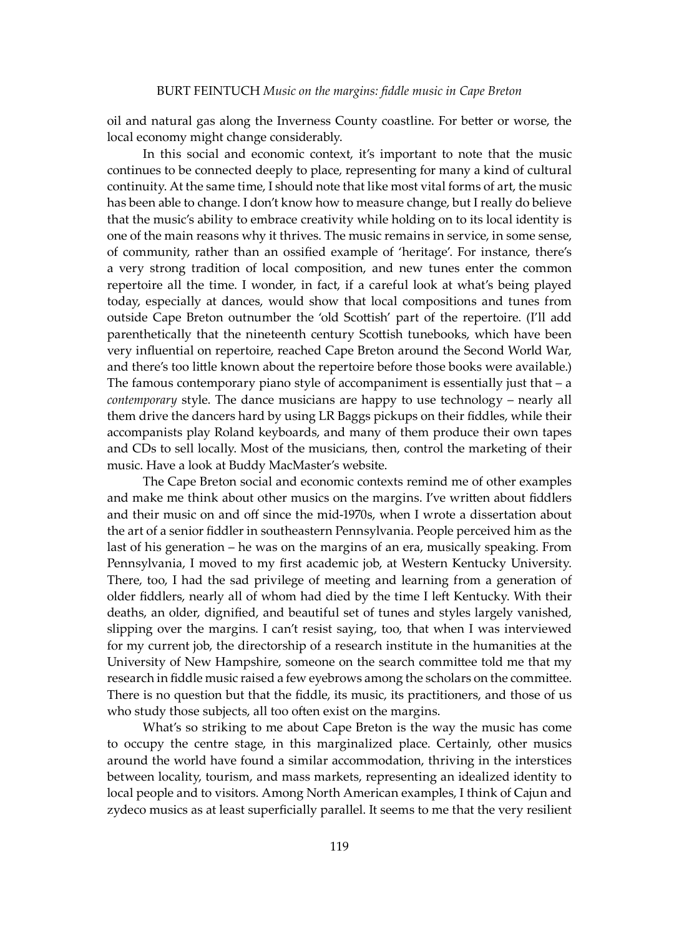oil and natural gas along the Inverness County coastline. For be�er or worse, the local economy might change considerably.

In this social and economic context, it's important to note that the music continues to be connected deeply to place, representing for many a kind of cultural continuity. At the same time, I should note that like most vital forms of art, the music has been able to change. I don't know how to measure change, but I really do believe that the music's ability to embrace creativity while holding on to its local identity is one of the main reasons why it thrives. The music remains in service, in some sense, of community, rather than an ossified example of 'heritage'. For instance, there's a very strong tradition of local composition, and new tunes enter the common repertoire all the time. I wonder, in fact, if a careful look at what's being played today, especially at dances, would show that local compositions and tunes from outside Cape Breton outnumber the 'old Sco�ish' part of the repertoire. (I'll add parenthetically that the nineteenth century Scottish tunebooks, which have been very influential on repertoire, reached Cape Breton around the Second World War, and there's too little known about the repertoire before those books were available.) The famous contemporary piano style of accompaniment is essentially just that  $-$  a *contemporary* style. The dance musicians are happy to use technology – nearly all them drive the dancers hard by using LR Baggs pickups on their fiddles, while their accompanists play Roland keyboards, and many of them produce their own tapes and CDs to sell locally. Most of the musicians, then, control the marketing of their music. Have a look at Buddy MacMaster's website.

The Cape Breton social and economic contexts remind me of other examples and make me think about other musics on the margins. I've written about fiddlers and their music on and off since the mid-1970s, when I wrote a dissertation about the art of a senior fiddler in southeastern Pennsylvania. People perceived him as the last of his generation – he was on the margins of an era, musically speaking. From Pennsylvania, I moved to my first academic job, at Western Kentucky University. There, too, I had the sad privilege of meeting and learning from a generation of older fiddlers, nearly all of whom had died by the time I left Kentucky. With their deaths, an older, dignified, and beautiful set of tunes and styles largely vanished, slipping over the margins. I can't resist saying, too, that when I was interviewed for my current job, the directorship of a research institute in the humanities at the University of New Hampshire, someone on the search commi�ee told me that my research in fiddle music raised a few eyebrows among the scholars on the committee. There is no question but that the fiddle, its music, its practitioners, and those of us who study those subjects, all too often exist on the margins.

What's so striking to me about Cape Breton is the way the music has come to occupy the centre stage, in this marginalized place. Certainly, other musics around the world have found a similar accommodation, thriving in the interstices between locality, tourism, and mass markets, representing an idealized identity to local people and to visitors. Among North American examples, I think of Cajun and zydeco musics as at least superficially parallel. It seems to me that the very resilient